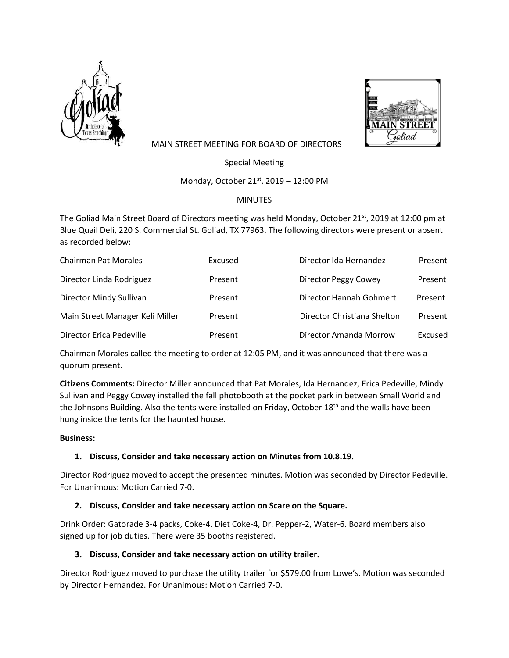



# MAIN STREET MEETING FOR BOARD OF DIRECTORS

Special Meeting

Monday, October 21<sup>st</sup>, 2019 - 12:00 PM

# MINUTES

The Goliad Main Street Board of Directors meeting was held Monday, October 21st, 2019 at 12:00 pm at Blue Quail Deli, 220 S. Commercial St. Goliad, TX 77963. The following directors were present or absent as recorded below:

| <b>Chairman Pat Morales</b>     | Excused | Director Ida Hernandez      | Present |
|---------------------------------|---------|-----------------------------|---------|
| Director Linda Rodriguez        | Present | Director Peggy Cowey        | Present |
| Director Mindy Sullivan         | Present | Director Hannah Gohmert     | Present |
| Main Street Manager Keli Miller | Present | Director Christiana Shelton | Present |
| Director Erica Pedeville        | Present | Director Amanda Morrow      | Excused |

Chairman Morales called the meeting to order at 12:05 PM, and it was announced that there was a quorum present.

**Citizens Comments:** Director Miller announced that Pat Morales, Ida Hernandez, Erica Pedeville, Mindy Sullivan and Peggy Cowey installed the fall photobooth at the pocket park in between Small World and the Johnsons Building. Also the tents were installed on Friday, October  $18<sup>th</sup>$  and the walls have been hung inside the tents for the haunted house.

#### **Business:**

# **1. Discuss, Consider and take necessary action on Minutes from 10.8.19.**

Director Rodriguez moved to accept the presented minutes. Motion was seconded by Director Pedeville. For Unanimous: Motion Carried 7-0.

# **2. Discuss, Consider and take necessary action on Scare on the Square.**

Drink Order: Gatorade 3-4 packs, Coke-4, Diet Coke-4, Dr. Pepper-2, Water-6. Board members also signed up for job duties. There were 35 booths registered.

# **3. Discuss, Consider and take necessary action on utility trailer.**

Director Rodriguez moved to purchase the utility trailer for \$579.00 from Lowe's. Motion was seconded by Director Hernandez. For Unanimous: Motion Carried 7-0.